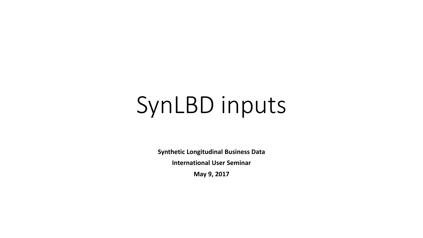# SynLBD inputs

**Synthetic Longitudinal Business Data** 

**International User Seminar**

**May 9, 2017**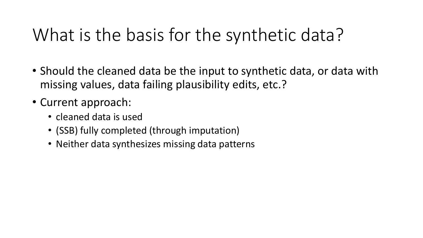### What is the basis for the synthetic data?

- Should the cleaned data be the input to synthetic data, or data with missing values, data failing plausibility edits, etc.?
- Current approach:
	- cleaned data is used
	- (SSB) fully completed (through imputation)
	- Neither data synthesizes missing data patterns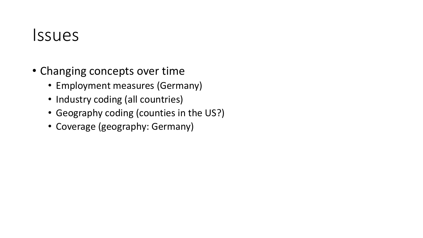### Issues

- Changing concepts over time
	- Employment measures (Germany)
	- Industry coding (all countries)
	- Geography coding (counties in the US?)
	- Coverage (geography: Germany)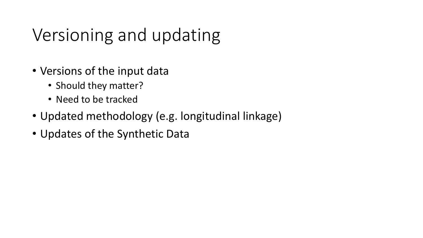## Versioning and updating

- Versions of the input data
	- Should they matter?
	- Need to be tracked
- Updated methodology (e.g. longitudinal linkage)
- Updates of the Synthetic Data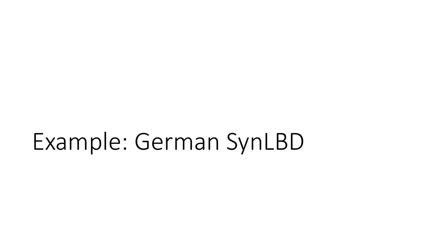## Example: German SynLBD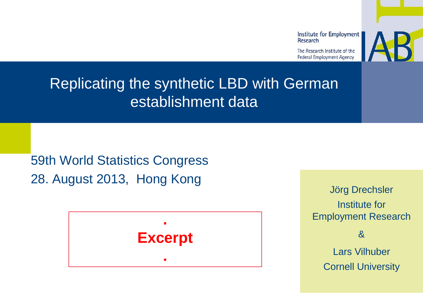

The Research Institute of the **Federal Employment Agency** 



#### Replicating the synthetic LBD with German establishment data

59th World Statistics Congress 28. August 2013, Hong Kong



Jörg Drechsler Institute for Employment Research &

Lars Vilhuber Cornell University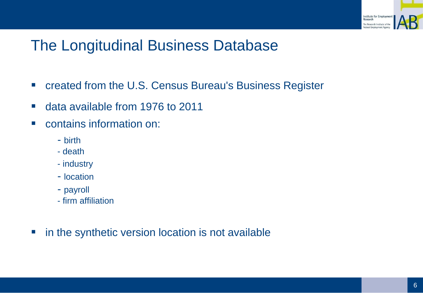

#### The Longitudinal Business Database

- created from the U.S. Census Bureau's Business Register
- data available from 1976 to 2011
- contains information on:
	- birth
	- death
	- industry
	- location
	- payroll
	- firm affiliation
- **n** in the synthetic version location is not available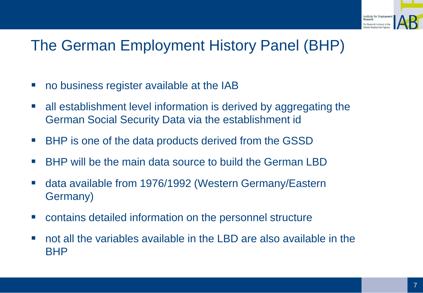

#### The German Employment History Panel (BHP)

- no business register available at the IAB
- all establishment level information is derived by aggregating the German Social Security Data via the establishment id
- BHP is one of the data products derived from the GSSD
- BHP will be the main data source to build the German LBD
- data available from 1976/1992 (Western Germany/Eastern Germany)
- contains detailed information on the personnel structure
- not all the variables available in the LBD are also available in the BHP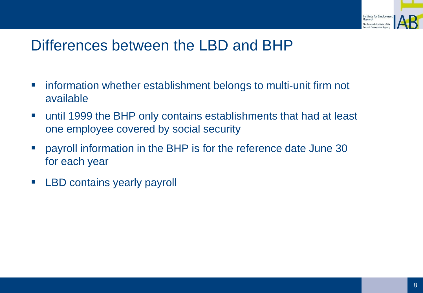

#### Differences between the LBD and BHP

- **EXT** information whether establishment belongs to multi-unit firm not available
- until 1999 the BHP only contains establishments that had at least one employee covered by social security
- **Perms 20 Ferror in STATE is for the reference date June 30** for each year
- **EXELGO** contains yearly payroll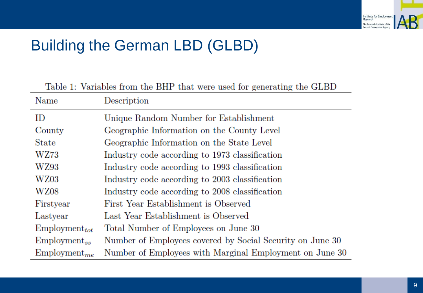

#### Building the German LBD (GLBD)

| Table 1: Variables from the BHP that were used for generating the GLBD |                                                           |  |  |  |
|------------------------------------------------------------------------|-----------------------------------------------------------|--|--|--|
| Name                                                                   | Description                                               |  |  |  |
| ID                                                                     | Unique Random Number for Establishment                    |  |  |  |
| County                                                                 | Geographic Information on the County Level                |  |  |  |
| State                                                                  | Geographic Information on the State Level                 |  |  |  |
| WZ73                                                                   | Industry code according to 1973 classification            |  |  |  |
| WZ93                                                                   | Industry code according to 1993 classification            |  |  |  |
| WZ03                                                                   | Industry code according to 2003 classification            |  |  |  |
| WZ08                                                                   | Industry code according to 2008 classification            |  |  |  |
| Firstyear                                                              | First Year Establishment is Observed                      |  |  |  |
| Lastyear                                                               | Last Year Establishment is Observed                       |  |  |  |
| $Employment_{tot}$                                                     | Total Number of Employees on June 30                      |  |  |  |
| $Employment_{ss}$                                                      | Number of Employees covered by Social Security on June 30 |  |  |  |
| $Employment_{me}$                                                      | Number of Employees with Marginal Employment on June 30   |  |  |  |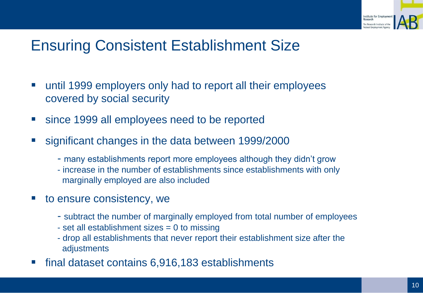

#### Ensuring Consistent Establishment Size

- until 1999 employers only had to report all their employees covered by social security
- since 1999 all employees need to be reported
- significant changes in the data between 1999/2000
	- many establishments report more employees although they didn't grow
	- increase in the number of establishments since establishments with only marginally employed are also included
- to ensure consistency, we
	- subtract the number of marginally employed from total number of employees
	- set all establishment sizes = 0 to missing
	- drop all establishments that never report their establishment size after the adjustments
- final dataset contains 6,916,183 establishments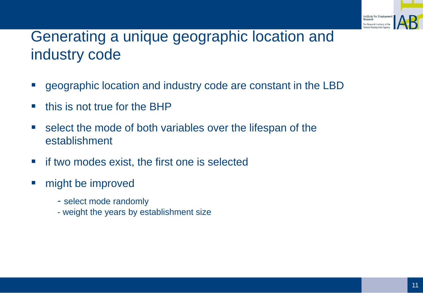

#### Generating a unique geographic location and industry code

- geographic location and industry code are constant in the LBD
- $\blacksquare$  this is not true for the BHP
- select the mode of both variables over the lifespan of the establishment
- $\blacksquare$  if two modes exist, the first one is selected
- **might be improved** 
	- select mode randomly
	- weight the years by establishment size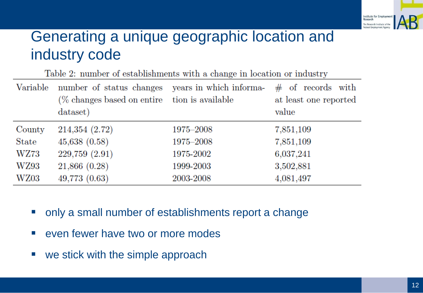

#### Generating a unique geographic location and industry code

| Table 2: number of establishments with a change in location or industry |                                                                                                               |           |                                                        |  |
|-------------------------------------------------------------------------|---------------------------------------------------------------------------------------------------------------|-----------|--------------------------------------------------------|--|
| Variable                                                                | number of status changes years in which informa-<br>(% changes based on entire tion is available)<br>dataset) |           | $\#$ of records with<br>at least one reported<br>value |  |
| County                                                                  | 214,354 (2.72)                                                                                                | 1975–2008 | 7,851,109                                              |  |
| State                                                                   | 45,638(0.58)                                                                                                  | 1975-2008 | 7,851,109                                              |  |
| WZ73                                                                    | 229,759 (2.91)                                                                                                | 1975-2002 | 6,037,241                                              |  |
| <b>WZ93</b>                                                             | 21,866(0.28)                                                                                                  | 1999-2003 | 3,502,881                                              |  |
| WZ03                                                                    | 49,773 (0.63)                                                                                                 | 2003-2008 | 4,081,497                                              |  |

- **only a small number of establishments report a change**
- **E** even fewer have two or more modes
- we stick with the simple approach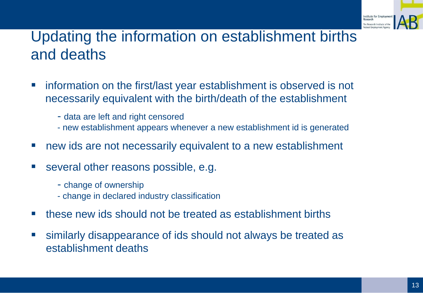

#### Updating the information on establishment births and deaths

- **EXT** information on the first/last year establishment is observed is not necessarily equivalent with the birth/death of the establishment
	- data are left and right censored
	- new establishment appears whenever a new establishment id is generated
- **new ids are not necessarily equivalent to a new establishment**
- **EXECTE:** Several other reasons possible, e.g.
	- change of ownership
	- change in declared industry classification
- **these new ids should not be treated as establishment births**
- similarly disappearance of ids should not always be treated as establishment deaths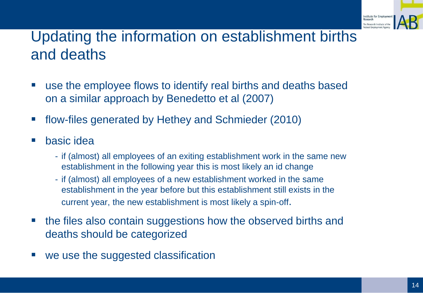

#### Updating the information on establishment births and deaths

- use the employee flows to identify real births and deaths based on a similar approach by Benedetto et al (2007)
- flow-files generated by Hethey and Schmieder (2010)
- basic idea
	- if (almost) all employees of an exiting establishment work in the same new establishment in the following year this is most likely an id change
	- if (almost) all employees of a new establishment worked in the same establishment in the year before but this establishment still exists in the current year, the new establishment is most likely a spin-off.
- **the files also contain suggestions how the observed births and** deaths should be categorized
- we use the suggested classification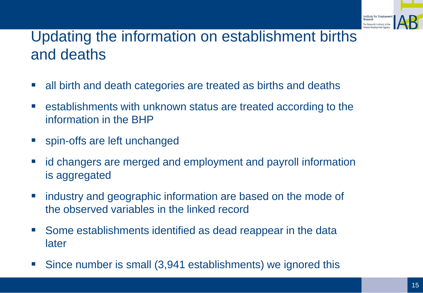

#### Updating the information on establishment births and deaths

- all birth and death categories are treated as births and deaths
- establishments with unknown status are treated according to the information in the BHP
- **spin-offs are left unchanged**
- **I** id changers are merged and employment and payroll information is aggregated
- **E** industry and geographic information are based on the mode of the observed variables in the linked record
- **Some establishments identified as dead reappear in the data** later
- Since number is small (3,941 establishments) we ignored this